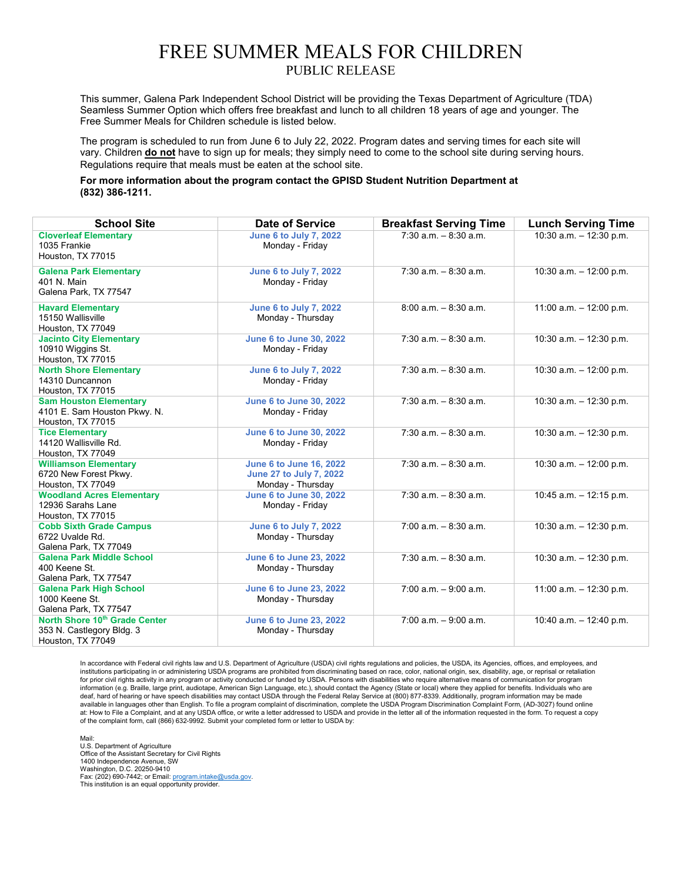## FREE SUMMER MEALS FOR CHILDREN PUBLIC RELEASE

This summer, Galena Park Independent School District will be providing the Texas Department of Agriculture (TDA) Seamless Summer Option which offers free breakfast and lunch to all children 18 years of age and younger. The Free Summer Meals for Children schedule is listed below.

The program is scheduled to run from June 6 to July 22, 2022. Program dates and serving times for each site will vary. Children **do not** have to sign up for meals; they simply need to come to the school site during serving hours. Regulations require that meals must be eaten at the school site.

**For more information about the program contact the GPISD Student Nutrition Department at (832) 386-1211.**

| <b>School Site</b>                                                                 | <b>Date of Service</b>                                                         | <b>Breakfast Serving Time</b> | <b>Lunch Serving Time</b>  |
|------------------------------------------------------------------------------------|--------------------------------------------------------------------------------|-------------------------------|----------------------------|
| <b>Cloverleaf Elementary</b><br>1035 Frankie<br>Houston, TX 77015                  | <b>June 6 to July 7, 2022</b><br>Monday - Friday                               | $7:30$ a.m. $-8:30$ a.m.      | $10:30$ a.m. $-12:30$ p.m. |
| <b>Galena Park Elementary</b><br>401 N. Main<br>Galena Park, TX 77547              | <b>June 6 to July 7, 2022</b><br>Monday - Friday                               | $7:30$ a.m. $-8:30$ a.m.      | 10:30 a.m. $-$ 12:00 p.m.  |
| <b>Havard Elementary</b><br>15150 Wallisville<br>Houston, TX 77049                 | <b>June 6 to July 7, 2022</b><br>Monday - Thursday                             | $8:00$ a.m. $-8:30$ a.m.      | $11:00$ a.m. $-12:00$ p.m. |
| <b>Jacinto City Elementary</b><br>10910 Wiggins St.<br>Houston, TX 77015           | <b>June 6 to June 30, 2022</b><br>Monday - Friday                              | $7:30$ a.m. $-8:30$ a.m.      | 10:30 a.m. $-$ 12:30 p.m.  |
| <b>North Shore Elementary</b><br>14310 Duncannon<br>Houston, TX 77015              | <b>June 6 to July 7, 2022</b><br>Monday - Friday                               | $7:30$ a.m. $-8:30$ a.m.      | $10:30$ a.m. $-12:00$ p.m. |
| <b>Sam Houston Elementary</b><br>4101 E. Sam Houston Pkwy. N.<br>Houston, TX 77015 | <b>June 6 to June 30, 2022</b><br>Monday - Friday                              | $7:30$ a.m. $-8:30$ a.m.      | $10:30$ a.m. $-12:30$ p.m. |
| <b>Tice Elementary</b><br>14120 Wallisville Rd.<br>Houston, TX 77049               | <b>June 6 to June 30, 2022</b><br>Monday - Friday                              | $7:30$ a.m. $-8:30$ a.m.      | $10:30$ a.m. $-12:30$ p.m. |
| <b>Williamson Elementary</b><br>6720 New Forest Pkwy.<br>Houston, TX 77049         | <b>June 6 to June 16, 2022</b><br>June 27 to July 7, 2022<br>Monday - Thursday | $7:30$ a.m. $-8:30$ a.m.      | 10:30 a.m. $-$ 12:00 p.m.  |
| <b>Woodland Acres Elementary</b><br>12936 Sarahs Lane<br>Houston, TX 77015         | <b>June 6 to June 30, 2022</b><br>Monday - Friday                              | $7:30$ a.m. $-8:30$ a.m.      | $10:45$ a.m. $-12:15$ p.m. |
| <b>Cobb Sixth Grade Campus</b><br>6722 Uvalde Rd.<br>Galena Park, TX 77049         | <b>June 6 to July 7, 2022</b><br>Monday - Thursday                             | $7:00$ a.m. $-8:30$ a.m.      | 10:30 a.m. $-$ 12:30 p.m.  |
| <b>Galena Park Middle School</b><br>400 Keene St.<br>Galena Park, TX 77547         | <b>June 6 to June 23, 2022</b><br>Monday - Thursday                            | $7:30$ a.m. $-8:30$ a.m.      | 10:30 a.m. $-$ 12:30 p.m.  |
| <b>Galena Park High School</b><br>1000 Keene St.<br>Galena Park, TX 77547          | <b>June 6 to June 23, 2022</b><br>Monday - Thursday                            | $7:00$ a.m. $-9:00$ a.m.      | 11:00 a.m. $-$ 12:30 p.m.  |
| North Shore 10th Grade Center<br>353 N. Castlegory Bldg. 3<br>Houston, TX 77049    | <b>June 6 to June 23, 2022</b><br>Monday - Thursday                            | $7:00$ a.m. $-9:00$ a.m.      | 10:40 a.m. $-$ 12:40 p.m.  |

In accordance with Federal civil rights law and U.S. Department of Agriculture (USDA) civil rights regulations and policies, the USDA, its Agencies, offices, and employees, and institutions participating in or administering USDA programs are prohibited from discriminating based on race, color, national origin, sex, disability, age, or reprisal or retaliation for prior civil rights activity in any program or activity conducted or funded by USDA. Persons with disabilities who require alternative means of communication for program information (e.g. Braille, large print, audiotape, American Sign Language, etc.), should contact the Agency (State or local) where they applied for benefits. Individuals who are deaf, hard of hearing or have speech disabilities may contact USDA through the Federal Relay Service at (800) 877-8339. Additionally, program information may be made available in languages other than English. To file a program complaint of discrimination, complete the USDA Program Discrimination Complaint Form, (AD-3027) found online at: How to File a Complaint, and at any USDA office, or write a letter addressed to USDA and provide in the letter all of the information requested in the form. To request a copy of the complaint form, call (866) 632-9992. Submit your completed form or letter to USDA by:

Mail: U.S. Department of Agriculture Office of the Assistant Secretary for Civil Rights 1400 Independence Avenue, SW Washington, D.C. 20250-9410 Fax: (202) 690-7442; or Email: <u>program.intake@usda.gov</u>.<br>This institution is an equal opportunity provider.